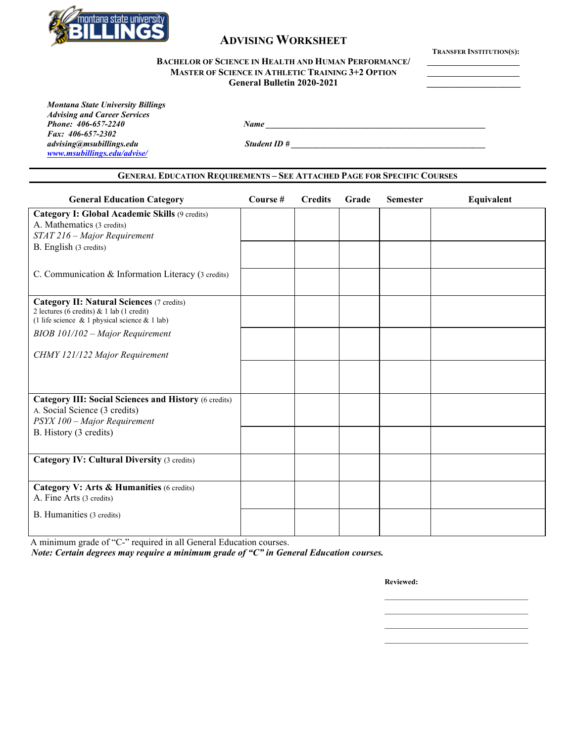

### **ADVISING WORKSHEET**

**TRANSFER INSTITUTION(S):**

#### **BACHELOR OF SCIENCE IN HEALTH AND HUMAN PERFORMANCE/ MASTER OF SCIENCE IN ATHLETIC TRAINING 3+2 OPTION General Bulletin 2020-2021 \_\_\_\_\_\_\_\_\_\_\_\_\_\_\_\_\_\_\_\_**

*Montana State University Billings Advising and Career Services Fax: 406-657-2302*

*[www.msubillings.edu/advise/](http://www.msubillings.edu/advise/)*

B. Humanities (3 credits)

*advising@msubillings.edu Student ID # \_\_\_\_\_\_\_\_\_\_\_\_\_\_\_\_\_\_\_\_\_\_\_\_\_\_\_\_\_\_\_\_\_\_\_\_\_\_\_\_\_\_\_\_\_\_*

*Phone: 406-657-2240 Name*  $\frac{1}{2}$  *Name*  $\frac{1}{2}$  *Name*  $\frac{1}{2}$  *Name*  $\frac{1}{2}$  *Name*  $\frac{1}{2}$  *Name*  $\frac{1}{2}$  *Name*  $\frac{1}{2}$  *Name*  $\frac{1}{2}$  *Name*  $\frac{1}{2}$  *Name*  $\frac{1}{2}$  *Name*  $\frac{1}{2}$  *Name*  $\frac{1}{$ 

# **GENERAL EDUCATION REQUIREMENTS – SEE ATTACHED PAGE FOR SPECIFIC COURSES General Education Category Course # Credits Grade Semester Equivalent Category I: Global Academic Skills** (9 credits) A. Mathematics (3 credits) *STAT 216 – Major Requirement* B. English (3 credits) C. Communication & Information Literacy (3 credits) **Category II: Natural Sciences** (7 credits) 2 lectures (6 credits) & 1 lab (1 credit) (1 life science & 1 physical science & 1 lab) *BIOB 101/102 – Major Requirement CHMY 121/122 Major Requirement* **Category III: Social Sciences and History** (6 credits) A. Social Science (3 credits) *PSYX 100 – Major Requirement* B. History (3 credits) **Category IV: Cultural Diversity (3 credits) Category V: Arts & Humanities** (6 credits) A. Fine Arts (3 credits)

A minimum grade of "C-" required in all General Education courses.

*Note: Certain degrees may require a minimum grade of "C" in General Education courses.*

**Reviewed:**

\_\_\_\_\_\_\_\_\_\_\_\_\_\_\_\_\_\_\_\_\_\_\_\_\_\_\_\_\_\_\_\_\_\_

\_\_\_\_\_\_\_\_\_\_\_\_\_\_\_\_\_\_\_\_\_\_\_\_\_\_\_\_\_\_\_\_\_\_ \_\_\_\_\_\_\_\_\_\_\_\_\_\_\_\_\_\_\_\_\_\_\_\_\_\_\_\_\_\_\_\_\_\_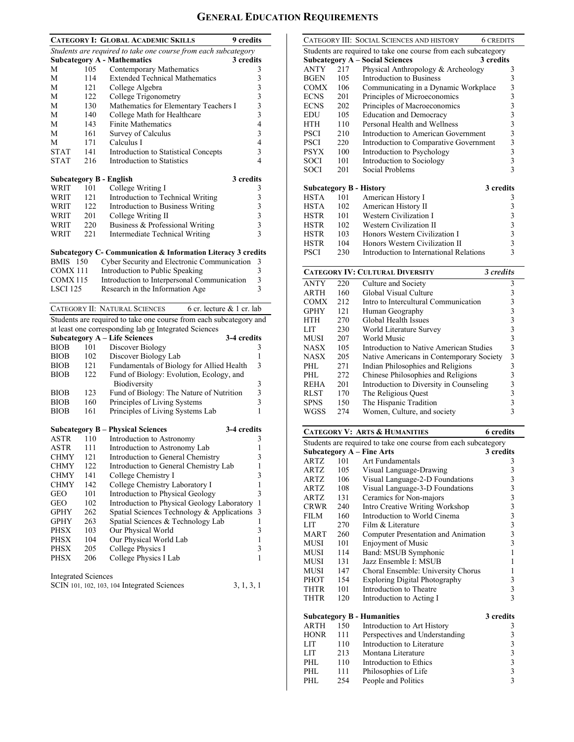## **GENERAL EDUCATION REQUIREMENTS**

|                            |     | <b>CATEGORY I: GLOBAL ACADEMIC SKILLS</b><br>9 credits                   |                                            |
|----------------------------|-----|--------------------------------------------------------------------------|--------------------------------------------|
|                            |     | Students are required to take one course from each subcategory           |                                            |
|                            |     | <b>Subcategory A - Mathematics</b><br>3 credits                          |                                            |
| М                          | 105 | Contemporary Mathematics                                                 | 3                                          |
| М                          | 114 | <b>Extended Technical Mathematics</b>                                    | 3                                          |
| М                          | 121 | College Algebra                                                          |                                            |
| М                          | 122 | College Trigonometry                                                     | $\begin{array}{c} 3 \\ 3 \\ 3 \end{array}$ |
| М                          | 130 | Mathematics for Elementary Teachers I                                    |                                            |
| М                          | 140 | College Math for Healthcare                                              |                                            |
| М                          | 143 | <b>Finite Mathematics</b>                                                | $\overline{\mathcal{L}}$                   |
| М                          | 161 | Survey of Calculus                                                       | 3                                          |
| М                          | 171 | Calculus I                                                               | $\overline{\mathcal{L}}$                   |
| <b>STAT</b>                | 141 | Introduction to Statistical Concepts                                     | 3                                          |
| <b>STAT</b>                | 216 | <b>Introduction to Statistics</b>                                        | 4                                          |
|                            |     | <b>Subcategory B - English</b><br>3 credits                              |                                            |
| WRIT                       | 101 | College Writing I                                                        | 3                                          |
| WRIT                       | 121 | Introduction to Technical Writing                                        | 3                                          |
| WRIT                       | 122 | Introduction to Business Writing                                         |                                            |
| WRIT                       | 201 | College Writing II                                                       | $\begin{array}{c} 3 \\ 3 \\ 3 \end{array}$ |
| WRIT                       | 220 | Business & Professional Writing                                          |                                            |
| WRIT                       | 221 | <b>Intermediate Technical Writing</b>                                    | $\overline{3}$                             |
|                            |     |                                                                          |                                            |
|                            |     | <b>Subcategory C- Communication &amp; Information Literacy 3 credits</b> |                                            |
| <b>BMIS</b> 150            |     | Cyber Security and Electronic Communication                              | 3                                          |
| COMX 111                   |     | Introduction to Public Speaking                                          | 3                                          |
| COMX <sub>115</sub>        |     | Introduction to Interpersonal Communication                              | 3                                          |
| LSCI 125                   |     | Research in the Information Age                                          | 3                                          |
|                            |     |                                                                          |                                            |
|                            |     | CATEGORY II: NATURAL SCIENCES<br>6 cr. lecture & 1 cr. lab               |                                            |
|                            |     | Students are required to take one course from each subcategory and       |                                            |
|                            |     | at least one corresponding lab or Integrated Sciences                    |                                            |
|                            |     | <b>Subcategory A - Life Sciences</b><br>3-4 credits                      |                                            |
| <b>BIOB</b>                | 101 | Discover Biology                                                         | 3                                          |
| <b>BIOB</b>                | 102 | Discover Biology Lab                                                     | 1                                          |
| <b>BIOB</b>                | 121 | Fundamentals of Biology for Allied Health                                | 3                                          |
| <b>BIOB</b>                | 122 | Fund of Biology: Evolution, Ecology, and                                 |                                            |
|                            |     | Biodiversity                                                             | 3                                          |
| <b>BIOB</b>                | 123 | Fund of Biology: The Nature of Nutrition                                 | 3                                          |
| <b>BIOB</b>                | 160 | Principles of Living Systems                                             | 3                                          |
| <b>BIOB</b>                | 161 | Principles of Living Systems Lab                                         | 1                                          |
|                            |     |                                                                          |                                            |
|                            |     | 3-4 credits<br><b>Subcategory B – Physical Sciences</b>                  |                                            |
| ASTR                       | 110 | Introduction to Astronomy                                                | 3                                          |
| ASTR                       | 111 | Introduction to Astronomy Lab                                            | $\mathbf{1}$                               |
| <b>CHMY</b>                | 121 | Introduction to General Chemistry                                        | 3                                          |
| CHMY                       | 122 | Introduction to General Chemistry Lab                                    | $\mathbf{1}$                               |
| CHMY                       | 141 | College Chemistry I                                                      | 3                                          |
| CHMY                       | 142 | College Chemistry Laboratory I                                           | 1                                          |
| GEO                        | 101 | Introduction to Physical Geology                                         | 3                                          |
| GEO                        | 102 | Introduction to Physical Geology Laboratory                              | 1                                          |
| GPHY                       | 262 | Spatial Sciences Technology & Applications                               | 3                                          |
| GPHY                       | 263 | Spatial Sciences & Technology Lab                                        | 1                                          |
| PHSX                       | 103 | Our Physical World                                                       | 3                                          |
| <b>PHSX</b>                | 104 | Our Physical World Lab                                                   | 1                                          |
| PHSX                       | 205 | College Physics I                                                        | 3                                          |
| PHSX                       | 206 | College Physics I Lab                                                    | 1                                          |
|                            |     |                                                                          |                                            |
| <b>Integrated Sciences</b> |     |                                                                          |                                            |
|                            |     | SCIN 101, 102, 103, 104 Integrated Sciences<br>3, 1, 3, 1                |                                            |
|                            |     |                                                                          |                                            |
|                            |     |                                                                          |                                            |

|                                |            | CATEGORY III: SOCIAL SCIENCES AND HISTORY<br><b>6 CREDITS</b>  |                                                      |
|--------------------------------|------------|----------------------------------------------------------------|------------------------------------------------------|
|                                |            | Students are required to take one course from each subcategory |                                                      |
|                                |            | <b>Subcategory A – Social Sciences</b><br>3 credits            |                                                      |
| ANTY                           | 217        | Physical Anthropology & Archeology                             | 3                                                    |
| <b>BGEN</b>                    | 105        | <b>Introduction to Business</b>                                | 3                                                    |
| <b>COMX</b>                    | 106        | Communicating in a Dynamic Workplace                           | 3                                                    |
| <b>ECNS</b>                    | 201        | Principles of Microeconomics                                   | 3                                                    |
| <b>ECNS</b>                    | 202        | Principles of Macroeconomics                                   | 3                                                    |
| EDU                            | 105        | <b>Education and Democracy</b>                                 | 3                                                    |
| HTH                            | 110        | Personal Health and Wellness                                   | 3                                                    |
| <b>PSCI</b>                    | 210        | Introduction to American Government                            | 3                                                    |
| <b>PSCI</b>                    | 220        | Introduction to Comparative Government                         | 3                                                    |
| <b>PSYX</b>                    | 100        | Introduction to Psychology                                     | 3                                                    |
| SOCI                           | 101        | Introduction to Sociology                                      | 3                                                    |
| SOCI                           | 201        | Social Problems                                                | 3                                                    |
| <b>Subcategory B - History</b> |            | 3 credits                                                      |                                                      |
| <b>HSTA</b>                    | 101        | American History I                                             | 3                                                    |
| <b>HSTA</b>                    | 102        | American History II                                            | 3                                                    |
| <b>HSTR</b>                    | 101        | Western Civilization I                                         | 3                                                    |
| <b>HSTR</b>                    | 102        | Western Civilization II                                        | 3                                                    |
| <b>HSTR</b>                    | 103        | Honors Western Civilization I                                  | 3                                                    |
| <b>HSTR</b>                    | 104        | Honors Western Civilization II                                 | 3                                                    |
| <b>PSCI</b>                    | 230        | Introduction to International Relations                        | 3                                                    |
|                                |            | <b>CATEGORY IV: CULTURAL DIVERSITY</b><br>3 credits            |                                                      |
| ANTY                           | 220        | Culture and Society                                            | 3                                                    |
| ARTH                           | 160        | Global Visual Culture                                          | 3                                                    |
| <b>COMX</b>                    | 212        | Intro to Intercultural Communication                           | 3                                                    |
| GPHY                           | 121        | Human Geography                                                | 3                                                    |
| HTH                            | 270        | Global Health Issues                                           | 3                                                    |
| <b>LIT</b>                     | 230        | World Literature Survey                                        | 3                                                    |
| MUSI                           | 207        | World Music                                                    | 3                                                    |
| NASX                           | 105        | Introduction to Native American Studies                        | 3                                                    |
| NASX                           | 205        | Native Americans in Contemporary Society                       | 3                                                    |
|                                |            |                                                                |                                                      |
|                                |            |                                                                |                                                      |
| PHL                            | 271        | Indian Philosophies and Religions                              | 3                                                    |
| PHL                            | 272        | Chinese Philosophies and Religions                             | $\overline{\mathbf{3}}$                              |
| REHA                           | 201        | Introduction to Diversity in Counseling                        | 3                                                    |
| <b>RLST</b>                    | 170        | The Religious Quest                                            | 3                                                    |
| <b>SPNS</b>                    | 150        | The Hispanic Tradition                                         | 3<br>3                                               |
| WGSS                           | 274        | Women, Culture, and society                                    |                                                      |
|                                |            | <b>CATEGORY V: ARTS &amp; HUMANITIES</b><br>6 credits          |                                                      |
|                                |            | Students are required to take one course from each subcategory |                                                      |
|                                |            | <b>Subcategory A - Fine Arts</b><br>3 credits                  |                                                      |
| <b>ARTZ</b>                    | 101        | Art Fundamentals                                               | 3                                                    |
| ARTZ                           | 105        | Visual Language-Drawing                                        | 3                                                    |
| ARTZ                           | 106        | Visual Language-2-D Foundations                                |                                                      |
| ARTZ                           | 108        | Visual Language-3-D Foundations                                |                                                      |
| ARTZ                           | 131        | Ceramics for Non-majors                                        |                                                      |
| <b>CRWR</b>                    | 240        | Intro Creative Writing Workshop                                |                                                      |
| <b>FILM</b>                    | 160        | Introduction to World Cinema                                   |                                                      |
| LIT                            | 270        | Film & Literature                                              | $\begin{array}{c} 3 \\ 3 \\ 3 \\ 3 \\ 3 \end{array}$ |
| <b>MART</b>                    | 260        | Computer Presentation and Animation                            | $\overline{\mathbf{3}}$                              |
| MUSI                           | 101        | <b>Enjoyment of Music</b>                                      | 3                                                    |
| MUSI                           | 114        | Band: MSUB Symphonic                                           | 1                                                    |
| MUSI                           | 131        | Jazz Ensemble I: MSUB                                          | 1                                                    |
| <b>MUSI</b>                    | 147        | Choral Ensemble: University Chorus                             | 1                                                    |
| PHOT                           | 154        | <b>Exploring Digital Photography</b>                           | 3                                                    |
| THTR<br>THTR                   | 101<br>120 | Introduction to Theatre<br>Introduction to Acting I            | 3<br>3                                               |
|                                |            |                                                                |                                                      |
|                                |            | 3 credits<br><b>Subcategory B - Humanities</b>                 |                                                      |
| ARTH                           | 150        | Introduction to Art History                                    | 3                                                    |
| <b>HONR</b>                    | 111        | Perspectives and Understanding                                 | 3                                                    |
| LIT                            | 110        | Introduction to Literature                                     | 3                                                    |
| LIT                            | 213        | Montana Literature                                             |                                                      |
| PHL<br>PHL                     | 110<br>111 | Introduction to Ethics<br>Philosophies of Life                 | $\begin{array}{c} 3 \\ 3 \\ 3 \end{array}$           |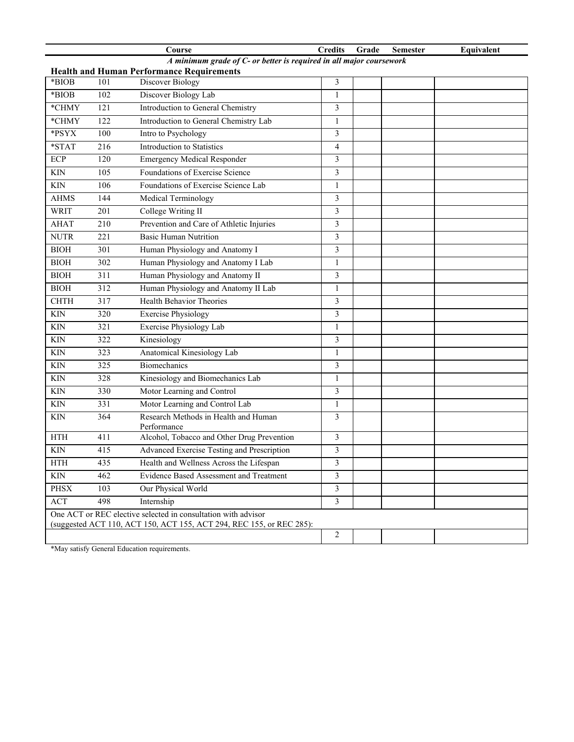|                                                                      |     | Course                                              | <b>Credits</b> | Grade | <b>Semester</b> | Equivalent |
|----------------------------------------------------------------------|-----|-----------------------------------------------------|----------------|-------|-----------------|------------|
| A minimum grade of C- or better is required in all major coursework  |     |                                                     |                |       |                 |            |
| <b>Health and Human Performance Requirements</b><br>*BIOB            |     |                                                     |                |       |                 |            |
| *BIOB                                                                | 101 | Discover Biology                                    | 3              |       |                 |            |
|                                                                      | 102 | Discover Biology Lab                                | $\mathbf{1}$   |       |                 |            |
| *CHMY                                                                | 121 | Introduction to General Chemistry                   | 3              |       |                 |            |
| *CHMY                                                                | 122 | Introduction to General Chemistry Lab               | 1              |       |                 |            |
| *PSYX                                                                | 100 | Intro to Psychology                                 | 3              |       |                 |            |
| $*STAT$                                                              | 216 | Introduction to Statistics                          | 4              |       |                 |            |
| <b>ECP</b>                                                           | 120 | <b>Emergency Medical Responder</b>                  | 3              |       |                 |            |
| <b>KIN</b>                                                           | 105 | Foundations of Exercise Science                     | 3              |       |                 |            |
| <b>KIN</b>                                                           | 106 | Foundations of Exercise Science Lab                 | 1              |       |                 |            |
| <b>AHMS</b>                                                          | 144 | Medical Terminology                                 | 3              |       |                 |            |
| <b>WRIT</b>                                                          | 201 | College Writing II                                  | 3              |       |                 |            |
| <b>AHAT</b>                                                          | 210 | Prevention and Care of Athletic Injuries            | 3              |       |                 |            |
| <b>NUTR</b>                                                          | 221 | <b>Basic Human Nutrition</b>                        | 3              |       |                 |            |
| <b>BIOH</b>                                                          | 301 | Human Physiology and Anatomy I                      | 3              |       |                 |            |
| <b>BIOH</b>                                                          | 302 | Human Physiology and Anatomy I Lab                  | 1              |       |                 |            |
| <b>BIOH</b>                                                          | 311 | Human Physiology and Anatomy II                     | 3              |       |                 |            |
| <b>BIOH</b>                                                          | 312 | Human Physiology and Anatomy II Lab                 | $\mathbf{1}$   |       |                 |            |
| <b>CHTH</b>                                                          | 317 | <b>Health Behavior Theories</b>                     | 3              |       |                 |            |
| <b>KIN</b>                                                           | 320 | <b>Exercise Physiology</b>                          | 3              |       |                 |            |
| <b>KIN</b>                                                           | 321 | Exercise Physiology Lab                             | $\mathbf{1}$   |       |                 |            |
| <b>KIN</b>                                                           | 322 | Kinesiology                                         | 3              |       |                 |            |
| <b>KIN</b>                                                           | 323 | Anatomical Kinesiology Lab                          | 1              |       |                 |            |
| KIN                                                                  | 325 | <b>Biomechanics</b>                                 | 3              |       |                 |            |
| <b>KIN</b>                                                           | 328 | Kinesiology and Biomechanics Lab                    | 1              |       |                 |            |
| <b>KIN</b>                                                           | 330 | Motor Learning and Control                          | 3              |       |                 |            |
| <b>KIN</b>                                                           | 331 | Motor Learning and Control Lab                      | $\mathbf{1}$   |       |                 |            |
| <b>KIN</b>                                                           | 364 | Research Methods in Health and Human<br>Performance | 3              |       |                 |            |
| <b>HTH</b>                                                           | 411 | Alcohol, Tobacco and Other Drug Prevention          | 3              |       |                 |            |
| <b>KIN</b>                                                           | 415 | Advanced Exercise Testing and Prescription          | 3              |       |                 |            |
| $\operatorname{HTH}$                                                 | 435 | Health and Wellness Across the Lifespan             | 3              |       |                 |            |
| KIN                                                                  | 462 | Evidence Based Assessment and Treatment             | 3              |       |                 |            |
| <b>PHSX</b>                                                          | 103 | Our Physical World                                  | 3              |       |                 |            |
| ACT                                                                  | 498 | Internship                                          | $\overline{3}$ |       |                 |            |
| One ACT or REC elective selected in consultation with advisor        |     |                                                     |                |       |                 |            |
| (suggested ACT 110, ACT 150, ACT 155, ACT 294, REC 155, or REC 285): |     |                                                     |                |       |                 |            |
|                                                                      |     |                                                     | $\overline{c}$ |       |                 |            |

\*May satisfy General Education requirements.